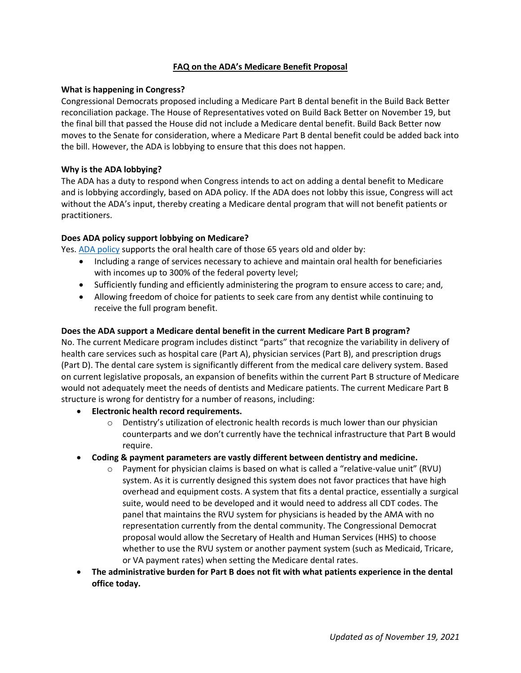# **FAQ on the ADA's Medicare Benefit Proposal**

### **What is happening in Congress?**

Congressional Democrats proposed including a Medicare Part B dental benefit in the Build Back Better reconciliation package. The House of Representatives voted on Build Back Better on November 19, but the final bill that passed the House did not include a Medicare dental benefit. Build Back Better now moves to the Senate for consideration, where a Medicare Part B dental benefit could be added back into the bill. However, the ADA is lobbying to ensure that this does not happen.

#### **Why is the ADA lobbying?**

The ADA has a duty to respond when Congress intends to act on adding a dental benefit to Medicare and is lobbying accordingly, based on ADA policy. If the ADA does not lobby this issue, Congress will act without the ADA's input, thereby creating a Medicare dental program that will not benefit patients or practitioners.

### **Does ADA policy support lobbying on Medicare?**

Yes[. ADA policy](https://www.ada.org/about/governance/current-policies#medicare) supports the oral health care of those 65 years old and older by:

- Including a range of services necessary to achieve and maintain oral health for beneficiaries with incomes up to 300% of the federal poverty level;
- Sufficiently funding and efficiently administering the program to ensure access to care; and,
- Allowing freedom of choice for patients to seek care from any dentist while continuing to receive the full program benefit.

#### **Does the ADA support a Medicare dental benefit in the current Medicare Part B program?**

No. The current Medicare program includes distinct "parts" that recognize the variability in delivery of health care services such as hospital care (Part A), physician services (Part B), and prescription drugs (Part D). The dental care system is significantly different from the medical care delivery system. Based on current legislative proposals, an expansion of benefits within the current Part B structure of Medicare would not adequately meet the needs of dentists and Medicare patients. The current Medicare Part B structure is wrong for dentistry for a number of reasons, including:

- **Electronic health record requirements.**
	- $\circ$  Dentistry's utilization of electronic health records is much lower than our physician counterparts and we don't currently have the technical infrastructure that Part B would require.
- **Coding & payment parameters are vastly different between dentistry and medicine.**
	- $\circ$  Payment for physician claims is based on what is called a "relative-value unit" (RVU) system. As it is currently designed this system does not favor practices that have high overhead and equipment costs. A system that fits a dental practice, essentially a surgical suite, would need to be developed and it would need to address all CDT codes. The panel that maintains the RVU system for physicians is headed by the AMA with no representation currently from the dental community. The Congressional Democrat proposal would allow the Secretary of Health and Human Services (HHS) to choose whether to use the RVU system or another payment system (such as Medicaid, Tricare, or VA payment rates) when setting the Medicare dental rates.
- **The administrative burden for Part B does not fit with what patients experience in the dental office today.**